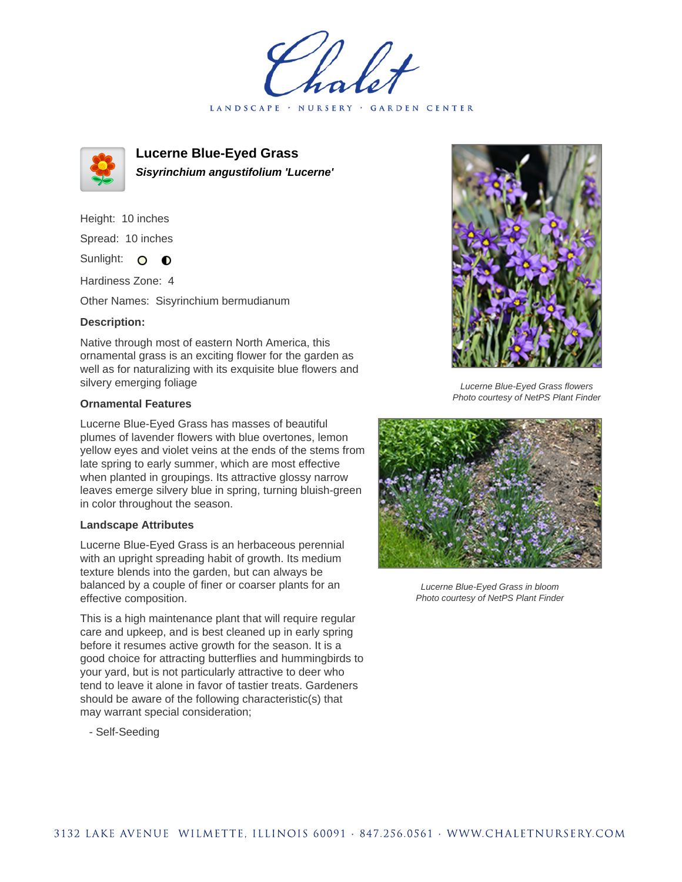LANDSCAPE · NURSERY · GARDEN CENTER



**Lucerne Blue-Eyed Grass Sisyrinchium angustifolium 'Lucerne'**

Height: 10 inches Spread: 10 inches

Sunlight: O  $\bullet$ 

Hardiness Zone: 4

Other Names: Sisyrinchium bermudianum

## **Description:**

Native through most of eastern North America, this ornamental grass is an exciting flower for the garden as well as for naturalizing with its exquisite blue flowers and silvery emerging foliage

## **Ornamental Features**

Lucerne Blue-Eyed Grass has masses of beautiful plumes of lavender flowers with blue overtones, lemon yellow eyes and violet veins at the ends of the stems from late spring to early summer, which are most effective when planted in groupings. Its attractive glossy narrow leaves emerge silvery blue in spring, turning bluish-green in color throughout the season.

## **Landscape Attributes**

Lucerne Blue-Eyed Grass is an herbaceous perennial with an upright spreading habit of growth. Its medium texture blends into the garden, but can always be balanced by a couple of finer or coarser plants for an effective composition.

This is a high maintenance plant that will require regular care and upkeep, and is best cleaned up in early spring before it resumes active growth for the season. It is a good choice for attracting butterflies and hummingbirds to your yard, but is not particularly attractive to deer who tend to leave it alone in favor of tastier treats. Gardeners should be aware of the following characteristic(s) that may warrant special consideration;

- Self-Seeding



Lucerne Blue-Eyed Grass flowers Photo courtesy of NetPS Plant Finder



Lucerne Blue-Eyed Grass in bloom Photo courtesy of NetPS Plant Finder